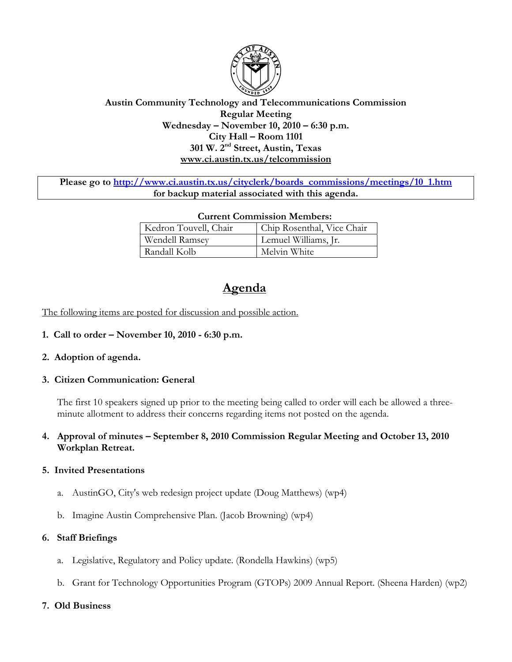

# **Austin Community Technology and Telecommunications Commission Regular Meeting Wednesday – November 10, 2010 – 6:30 p.m. City Hall – Room 1101 301 W. 2nd Street, Austin, Texas www.ci.austin.tx.us/telcommission**

Please go to http://www.ci.austin.tx.us/cityclerk/boards\_commissions/meetings/10\_1.htm **for backup material associated with this agenda.** 

| <b>Current Commission Members:</b> |                            |
|------------------------------------|----------------------------|
| Kedron Touvell, Chair              | Chip Rosenthal, Vice Chair |
| Wendell Ramsey                     | Lemuel Williams, Jr.       |
| Randall Kolb                       | Melvin White               |

# **Agenda**

The following items are posted for discussion and possible action.

- **1. Call to order November 10, 2010 6:30 p.m.**
- **2. Adoption of agenda.**
- **3. Citizen Communication: General**

The first 10 speakers signed up prior to the meeting being called to order will each be allowed a threeminute allotment to address their concerns regarding items not posted on the agenda.

**4. Approval of minutes – September 8, 2010 Commission Regular Meeting and October 13, 2010 Workplan Retreat.** 

#### **5. Invited Presentations**

- a. AustinGO, City's web redesign project update (Doug Matthews) (wp4)
- b. Imagine Austin Comprehensive Plan. (Jacob Browning) (wp4)

#### **6. Staff Briefings**

- a. Legislative, Regulatory and Policy update. (Rondella Hawkins) (wp5)
- b. Grant for Technology Opportunities Program (GTOPs) 2009 Annual Report. (Sheena Harden) (wp2)

#### **7. Old Business**